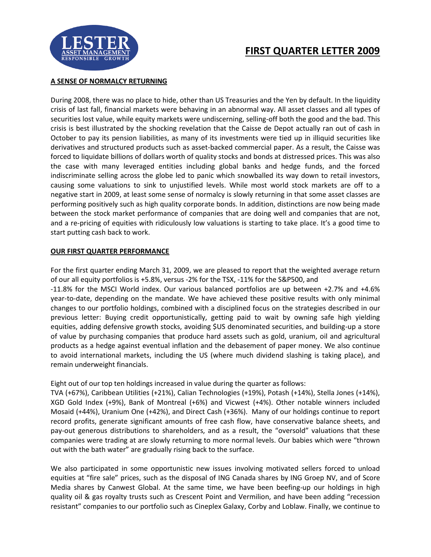

## **FIRST QUARTER LETTER 2009**

## **A SENSE OF NORMALCY RETURNING**

During 2008, there was no place to hide, other than US Treasuries and the Yen by default. In the liquidity crisis of last fall, financial markets were behaving in an abnormal way. All asset classes and all types of securities lost value, while equity markets were undiscerning, selling-off both the good and the bad. This crisis is best illustrated by the shocking revelation that the Caisse de Depot actually ran out of cash in October to pay its pension liabilities, as many of its investments were tied up in illiquid securities like derivatives and structured products such as asset-backed commercial paper. As a result, the Caisse was forced to liquidate billions of dollars worth of quality stocks and bonds at distressed prices. This was also the case with many leveraged entities including global banks and hedge funds, and the forced indiscriminate selling across the globe led to panic which snowballed its way down to retail investors, causing some valuations to sink to unjustified levels. While most world stock markets are off to a negative start in 2009, at least some sense of normalcy is slowly returning in that some asset classes are performing positively such as high quality corporate bonds. In addition, distinctions are now being made between the stock market performance of companies that are doing well and companies that are not, and a re-pricing of equities with ridiculously low valuations is starting to take place. It's a good time to start putting cash back to work.

## **OUR FIRST QUARTER PERFORMANCE**

For the first quarter ending March 31, 2009, we are pleased to report that the weighted average return of our all equity portfolios is +5.8%, versus -2% for the TSX, -11% for the S&P500, and

-11.8% for the MSCI World index. Our various balanced portfolios are up between +2.7% and +4.6% year-to-date, depending on the mandate. We have achieved these positive results with only minimal changes to our portfolio holdings, combined with a disciplined focus on the strategies described in our previous letter: Buying credit opportunistically, getting paid to wait by owning safe high yielding equities, adding defensive growth stocks, avoiding \$US denominated securities, and building-up a store of value by purchasing companies that produce hard assets such as gold, uranium, oil and agricultural products as a hedge against eventual inflation and the debasement of paper money. We also continue to avoid international markets, including the US (where much dividend slashing is taking place), and remain underweight financials.

Eight out of our top ten holdings increased in value during the quarter as follows:

TVA (+67%), Caribbean Utilities (+21%), Calian Technologies (+19%), Potash (+14%), Stella Jones (+14%), XGD Gold Index (+9%), Bank of Montreal (+6%) and Vicwest (+4%). Other notable winners included Mosaid (+44%), Uranium One (+42%), and Direct Cash (+36%). Many of our holdings continue to report record profits, generate significant amounts of free cash flow, have conservative balance sheets, and pay-out generous distributions to shareholders, and as a result, the "oversold" valuations that these companies were trading at are slowly returning to more normal levels. Our babies which were "thrown out with the bath water" are gradually rising back to the surface.

We also participated in some opportunistic new issues involving motivated sellers forced to unload equities at "fire sale" prices, such as the disposal of ING Canada shares by ING Groep NV, and of Score Media shares by Canwest Global. At the same time, we have been beefing-up our holdings in high quality oil & gas royalty trusts such as Crescent Point and Vermilion, and have been adding "recession resistant" companies to our portfolio such as Cineplex Galaxy, Corby and Loblaw. Finally, we continue to